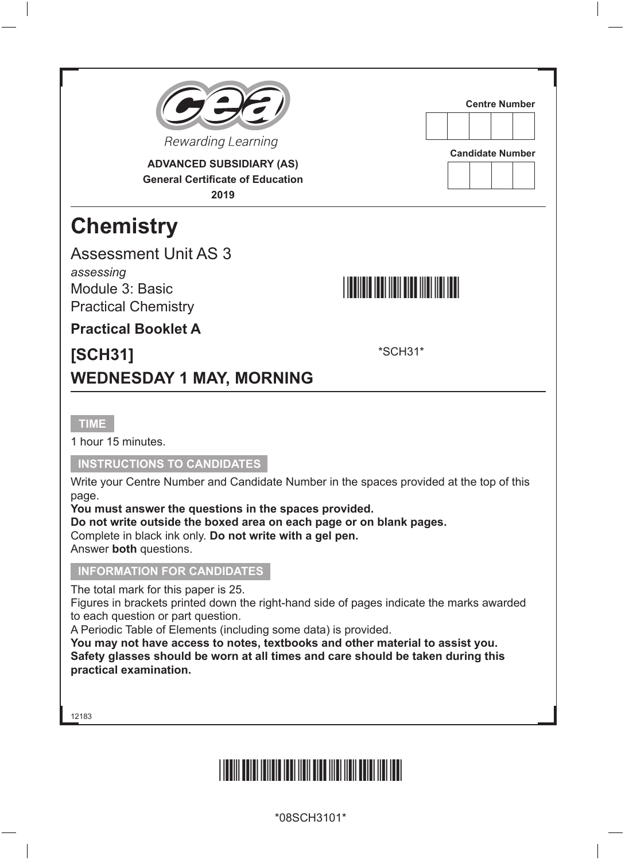

**ADVANCED SUBSIDIARY (AS) General Certificate of Education 2019**

# **Chemistry**

Assessment Unit AS 3 *assessing*

Module 3: Basic Practical Chemistry



\*SCH31\*

**Centre Number**

**Candidate Number**

**Practical Booklet A**

### **[SCH31] WEDNESDAY 1 MAY, MORNING**

#### **TIME**

1 hour 15 minutes.

#### **INSTRUCTIONS TO CANDIDATES**

Write your Centre Number and Candidate Number in the spaces provided at the top of this page.

**You must answer the questions in the spaces provided.**

**Do not write outside the boxed area on each page or on blank pages.** Complete in black ink only. **Do not write with a gel pen.** Answer **both** questions.

#### **INFORMATION FOR CANDIDATES**

The total mark for this paper is 25.

Figures in brackets printed down the right-hand side of pages indicate the marks awarded to each question or part question.

A Periodic Table of Elements (including some data) is provided.

**You may not have access to notes, textbooks and other material to assist you. Safety glasses should be worn at all times and care should be taken during this practical examination.**

12183

# <u>\*18SCH BERRICHTER FRAGTER IN DIE EINSTEIN IN DIE EINSTEIN IN DIE EINSTEIN IN DIE EINSTEIN IN DIE EINSTEIN IN D</u>

\*08SCH3101\*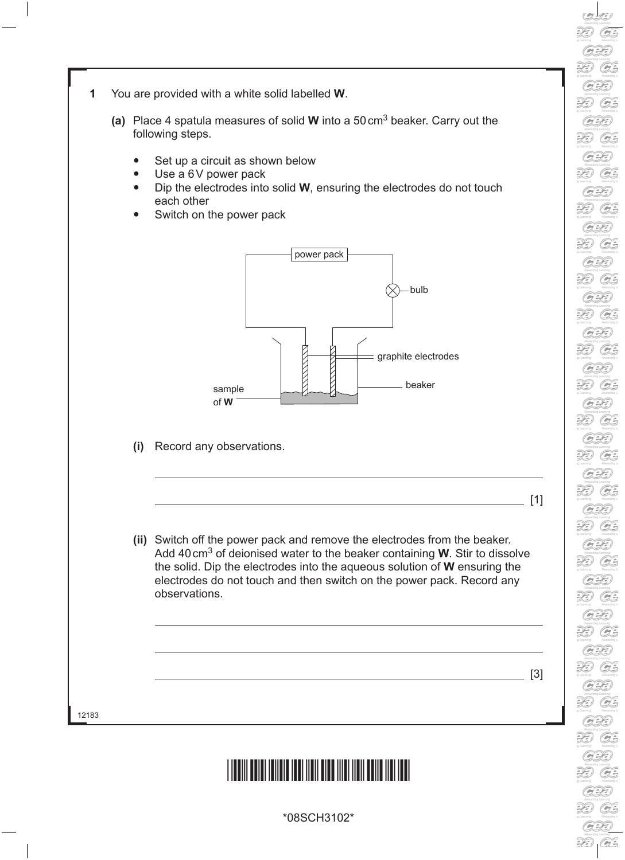30  $G$  $\mathcal{D}$  $G$  $G$ 39 G. 20  $G$  $\mathcal{D}$  $G$  $\widetilde{H}$ G 2E)  $G$ **DE**  $G$ 33  $G$  $\mathcal{D}$  $G$ 39 G  $G$ 30 G 2E) G 30  $G$ 33  $G$  $\mathbb{R}$  $G$  $G$  $\partial\widehat{\Theta}$ G  $\partial\!\Theta$  $G$  $\overline{\mathscr{L}}$  $\widehat{G}$  $G$ 

- **1** You are provided with a white solid labelled **W**.
	- **(a)** Place 4 spatula measures of solid **W** into a 50cm3 beaker. Carry out the following steps.
		- Set up a circuit as shown below
		- Use a 6V power pack
		- Dip the electrodes into solid **W**, ensuring the electrodes do not touch each other
		- Switch on the power pack



**(i)** Record any observations.

**(ii)** Switch off the power pack and remove the electrodes from the beaker. Add 40cm3 of deionised water to the beaker containing **W**. Stir to dissolve the solid. Dip the electrodes into the aqueous solution of **W** ensuring the electrodes do not touch and then switch on the power pack. Record any observations.

 $\_$  [3]

[1]

12183



\*08SCH3102\*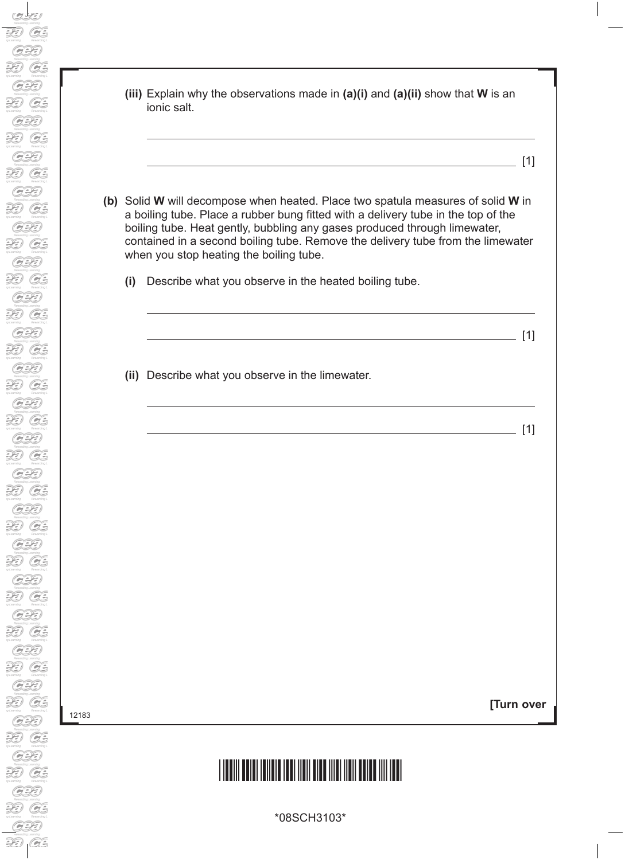12183

|     | (iii) Explain why the observations made in $(a)(i)$ and $(a)(ii)$ show that <b>W</b> is an<br>ionic salt.                                                                                                                                                                                                                                                                    |
|-----|------------------------------------------------------------------------------------------------------------------------------------------------------------------------------------------------------------------------------------------------------------------------------------------------------------------------------------------------------------------------------|
|     | [1]<br>the control of the control of the control of the control of the control of the control of                                                                                                                                                                                                                                                                             |
|     | Solid W will decompose when heated. Place two spatula measures of solid W in<br>a boiling tube. Place a rubber bung fitted with a delivery tube in the top of the<br>boiling tube. Heat gently, bubbling any gases produced through limewater,<br>contained in a second boiling tube. Remove the delivery tube from the limewater<br>when you stop heating the boiling tube. |
| (i) | Describe what you observe in the heated boiling tube.                                                                                                                                                                                                                                                                                                                        |
|     | [1]                                                                                                                                                                                                                                                                                                                                                                          |
|     | (ii) Describe what you observe in the limewater.                                                                                                                                                                                                                                                                                                                             |
|     | [1]                                                                                                                                                                                                                                                                                                                                                                          |
|     |                                                                                                                                                                                                                                                                                                                                                                              |
|     |                                                                                                                                                                                                                                                                                                                                                                              |
|     |                                                                                                                                                                                                                                                                                                                                                                              |
|     |                                                                                                                                                                                                                                                                                                                                                                              |
|     |                                                                                                                                                                                                                                                                                                                                                                              |
|     |                                                                                                                                                                                                                                                                                                                                                                              |
|     |                                                                                                                                                                                                                                                                                                                                                                              |
|     | (b)                                                                                                                                                                                                                                                                                                                                                                          |

# \*08SCH3103\*

\*08SCH3103\*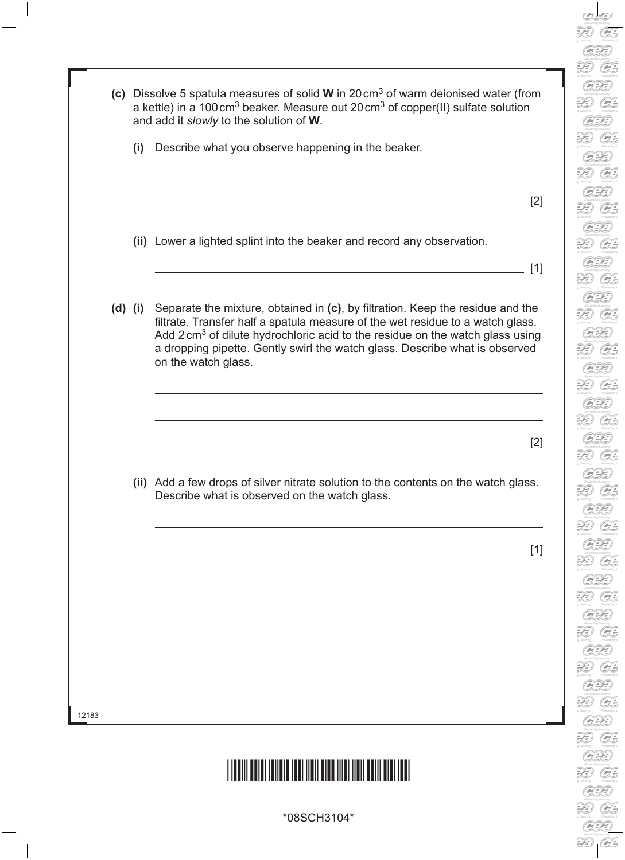



\*08SCH3104\*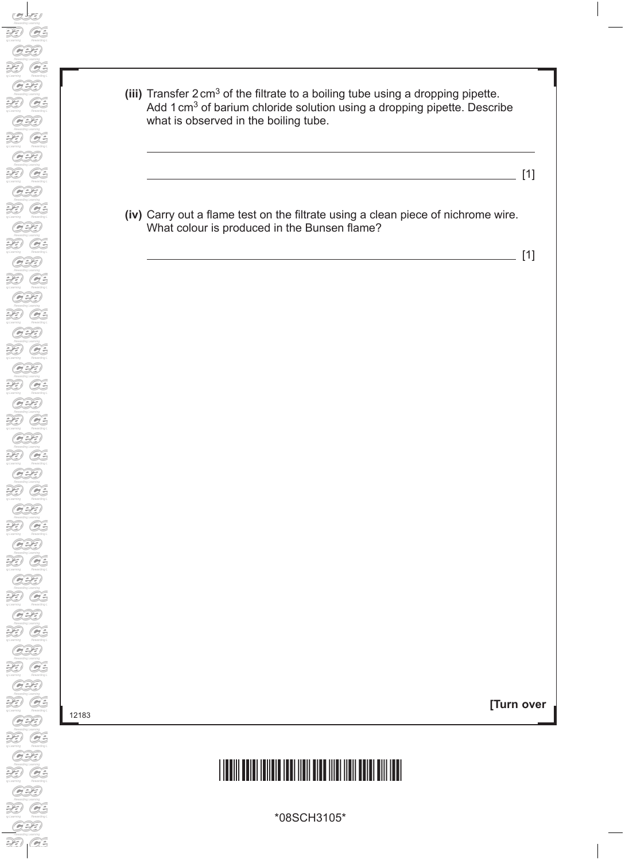- **(iii)** Transfer 2cm3 of the filtrate to a boiling tube using a dropping pipette. Add 1 cm<sup>3</sup> of barium chloride solution using a dropping pipette. Describe what is observed in the boiling tube.
	- [1]
- **(iv)** Carry out a flame test on the filtrate using a clean piece of nichrome wire. What colour is produced in the Bunsen flame?

[1]

12183

**[Turn over**

# \*08SCH3105\*

\*08SCH3105\*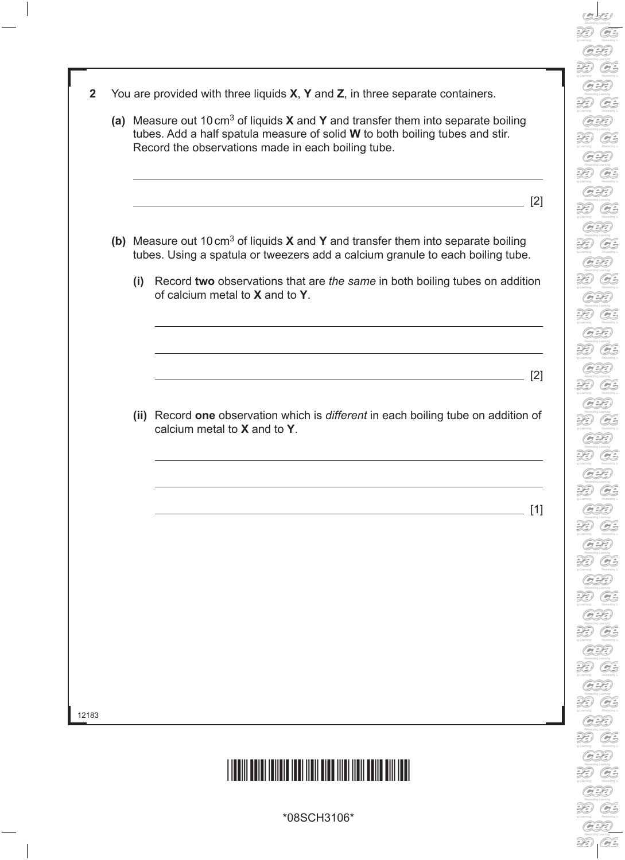- $G$  $\mathcal{D}$  $G$  $G$ 39  $G$ 39  $G$ 30  $G$  $\widetilde{H}$ G 2E)  $G$  $\mathbb{R}$  $G$ 33  $G$  $G$ G  $G$ 30 G 2E) G G 30 G  $G$  $\widetilde{H}$  $G$ G  $\partial\!\Theta$  $G$  $\widetilde{2D}$  $G$  $G$
- **2** You are provided with three liquids **X**, **Y** and **Z**, in three separate containers.
	- **(a)** Measure out 10cm3 of liquids **X** and **Y** and transfer them into separate boiling tubes. Add a half spatula measure of solid **W** to both boiling tubes and stir. Record the observations made in each boiling tube.

 $\overline{\phantom{0}}$  [2]

- **(b)** Measure out 10cm3 of liquids **X** and **Y** and transfer them into separate boiling tubes. Using a spatula or tweezers add a calcium granule to each boiling tube.
	- **(i)** Record **two** observations that are *the same* in both boiling tubes on addition of calcium metal to **X** and to **Y**.

[2]

 **(ii)** Record **one** observation which is *different* in each boiling tube on addition of calcium metal to **X** and to **Y**.

[1]

12183



\*08SCH3106\*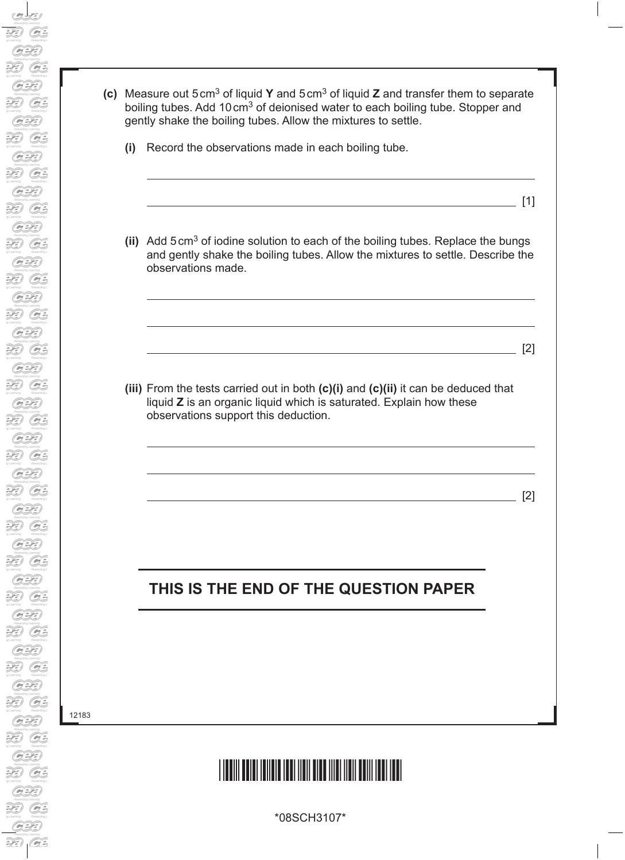**(c)** Measure out 5cm3 of liquid **Y** and 5cm3 of liquid **Z** and transfer them to separate boiling tubes. Add 10 cm<sup>3</sup> of deionised water to each boiling tube. Stopper and gently shake the boiling tubes. Allow the mixtures to settle.

- **(i)** Record the observations made in each boiling tube.
- **(ii)** Add 5cm3 of iodine solution to each of the boiling tubes. Replace the bungs and gently shake the boiling tubes. Allow the mixtures to settle. Describe the observations made.

 $[1]$ 

 $[2]$ 

[2]

 **(iii)** From the tests carried out in both **(c)(i)** and **(c)(ii)** it can be deduced that liquid **Z** is an organic liquid which is saturated. Explain how these observations support this deduction.

### **THIS IS THE END OF THE QUESTION PAPER**

12183



\*08SCH3107\*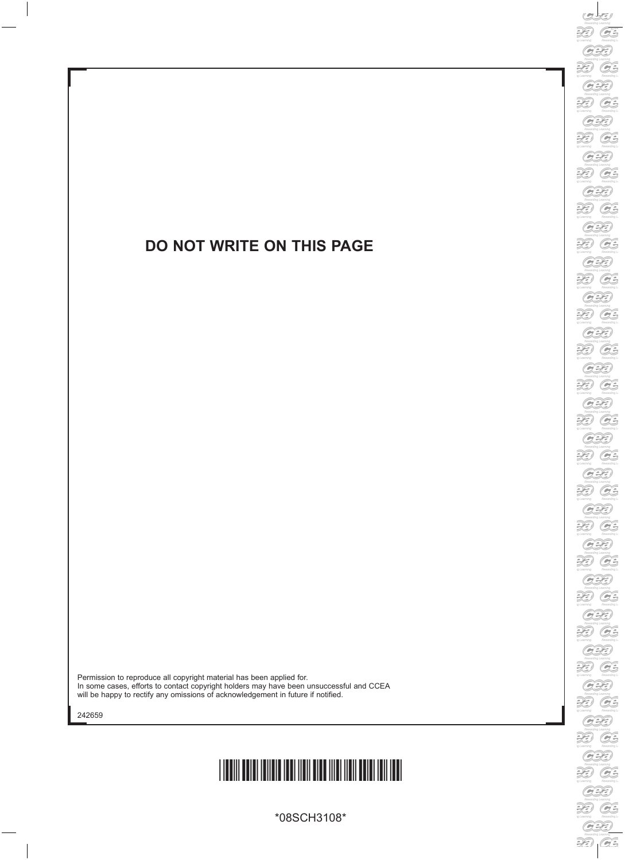### **DO NOT WRITE ON THIS PAGE**

Permission to reproduce all copyright material has been applied for. In some cases, efforts to contact copyright holders may have been unsuccessful and CCEA will be happy to rectify any omissions of acknowledgement in future if notified.

242659



\*08SCH3108\*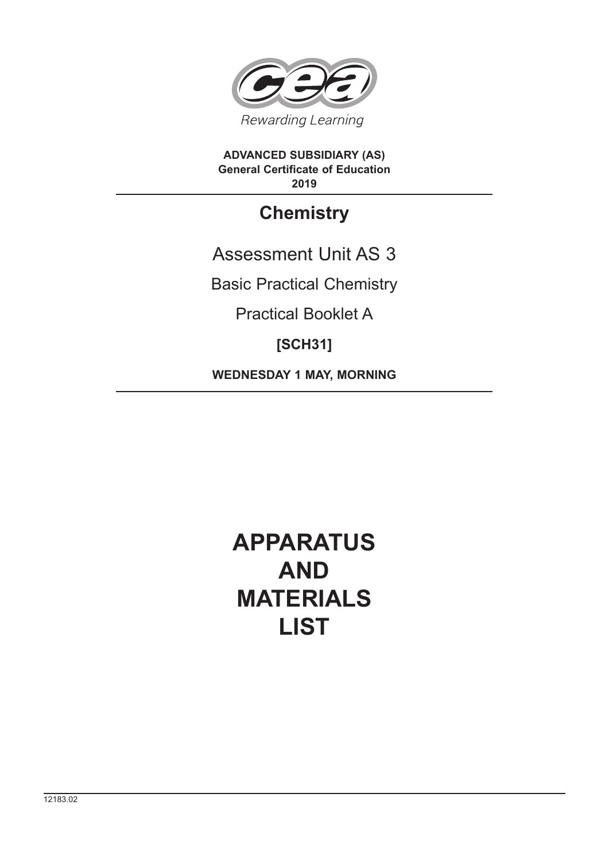

**ADVANCED SUBSIDIARY (AS) General Certificate of Education 2019**

### **Chemistry**

Assessment Unit AS 3

Basic Practical Chemistry

Practical Booklet A

### **[SCH31]**

**WEDNESDAY 1 MAY, MORNING**

## **APPARATUS AND MATERIALS LIST**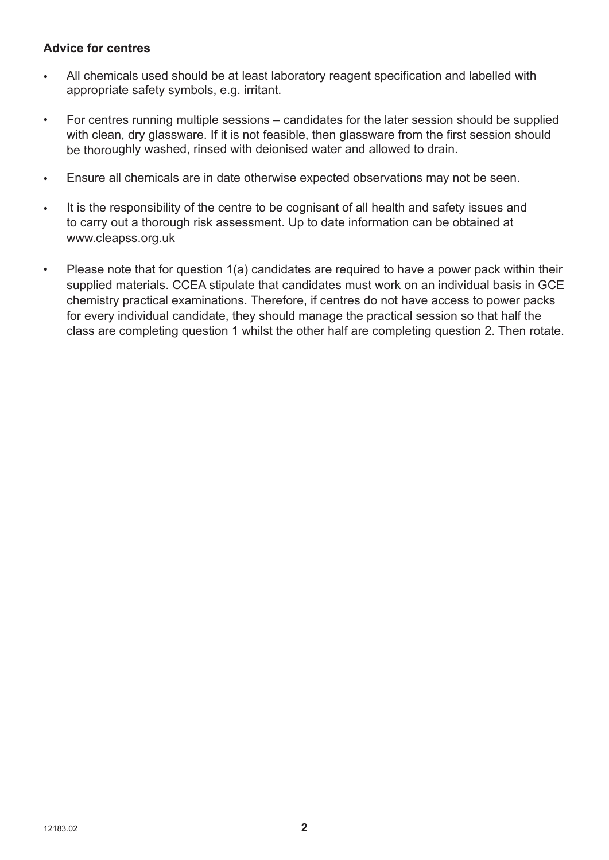#### **Advice for centres**

- All chemicals used should be at least laboratory reagent specification and labelled with appropriate safety symbols, e.g. irritant.
- For centres running multiple sessions candidates for the later session should be supplied with clean, dry glassware. If it is not feasible, then glassware from the first session should be thoroughly washed, rinsed with deionised water and allowed to drain.
- Ensure all chemicals are in date otherwise expected observations may not be seen.
- It is the responsibility of the centre to be cognisant of all health and safety issues and to carry out a thorough risk assessment. Up to date information can be obtained at www.cleapss.org.uk
- Please note that for question 1(a) candidates are required to have a power pack within their supplied materials. CCEA stipulate that candidates must work on an individual basis in GCE chemistry practical examinations. Therefore, if centres do not have access to power packs for every individual candidate, they should manage the practical session so that half the class are completing question 1 whilst the other half are completing question 2. Then rotate.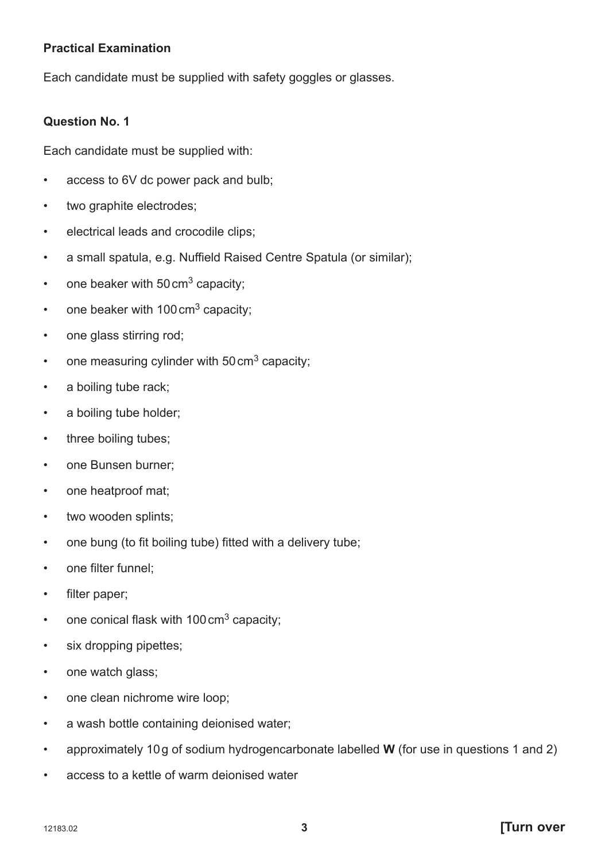#### **Practical Examination**

Each candidate must be supplied with safety goggles or glasses.

#### **Question No. 1**

Each candidate must be supplied with:

- access to 6V dc power pack and bulb;
- two graphite electrodes;
- electrical leads and crocodile clips;
- a small spatula, e.g. Nuffield Raised Centre Spatula (or similar);
- one beaker with  $50 \text{ cm}^3$  capacity;
- one beaker with  $100 \text{ cm}^3$  capacity;
- one glass stirring rod;
- one measuring cylinder with  $50 \text{ cm}^3$  capacity;
- a boiling tube rack;
- a boiling tube holder;
- three boiling tubes;
- one Bunsen burner;
- one heatproof mat;
- two wooden splints;
- one bung (to fit boiling tube) fitted with a delivery tube;
- one filter funnel;
- filter paper;
- one conical flask with  $100 \text{ cm}^3$  capacity;
- six dropping pipettes;
- one watch glass;
- one clean nichrome wire loop;
- a wash bottle containing deionised water;
- approximately 10 g of sodium hydrogencarbonate labelled **W** (for use in questions 1 and 2)
- access to a kettle of warm deionised water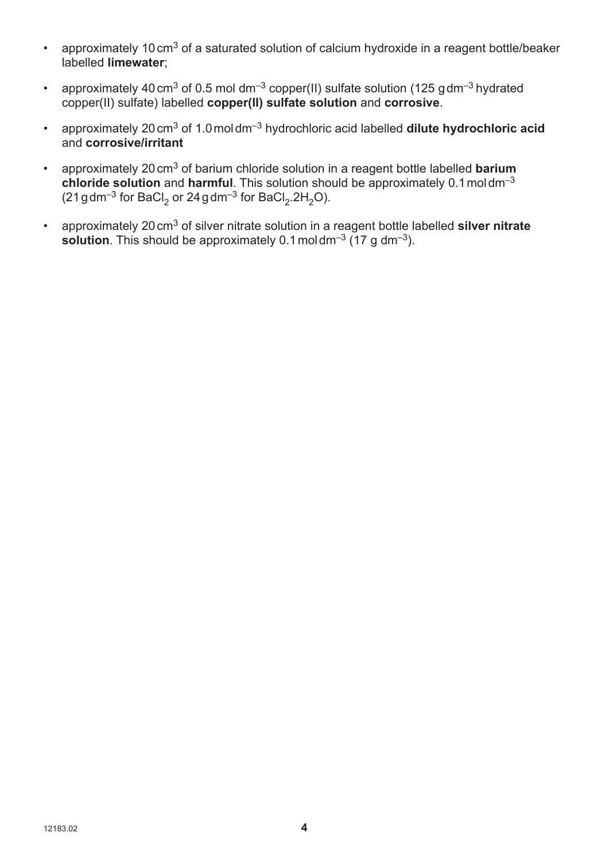- approximately 10 cm<sup>3</sup> of a saturated solution of calcium hydroxide in a reagent bottle/beaker labelled **limewater**;
- approximately 40 cm<sup>3</sup> of 0.5 mol dm<sup>-3</sup> copper(II) sulfate solution (125 g dm<sup>-3</sup> hydrated copper(II) sulfate) labelled **copper(II) sulfate solution** and **corrosive**.
- approximately 20 cm3 of 1.0 mol dm–3 hydrochloric acid labelled **dilute hydrochloric acid** and **corrosive/irritant**
- approximately 20 cm3 of barium chloride solution in a reagent bottle labelled **barium chloride solution** and **harmful**. This solution should be approximately 0.1 mol dm–3  $(21$  g dm<sup>-3</sup> for BaCl<sub>2</sub> or 24 g dm<sup>-3</sup> for BaCl<sub>2</sub>.2H<sub>2</sub>O).
- approximately 20 cm3 of silver nitrate solution in a reagent bottle labelled **silver nitrate solution**. This should be approximately  $0.1 \text{ mol } \text{dm}^{-3}$  (17 g dm<sup>-3</sup>).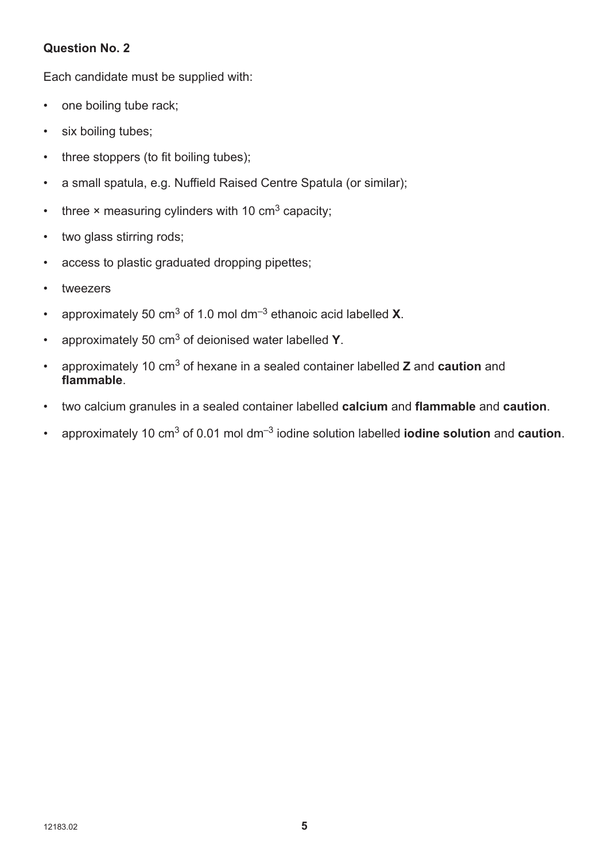#### **Question No. 2**

Each candidate must be supplied with:

- one boiling tube rack;
- six boiling tubes;
- three stoppers (to fit boiling tubes);
- a small spatula, e.g. Nuffield Raised Centre Spatula (or similar);
- three  $\times$  measuring cylinders with 10 cm<sup>3</sup> capacity;
- two glass stirring rods;
- access to plastic graduated dropping pipettes;
- tweezers
- approximately 50 cm3 of 1.0 mol dm–3 ethanoic acid labelled **X**.
- approximately 50 cm3 of deionised water labelled **Y**.
- approximately 10 cm3 of hexane in a sealed container labelled **Z** and **caution** and **flammable**.
- twocalcium granules in a sealed container labelled **calcium** and **flammable** and **caution**.
- approximately 10 cm3 of 0.01 mol dm–3 iodine solution labelled **iodine solution** and **caution**.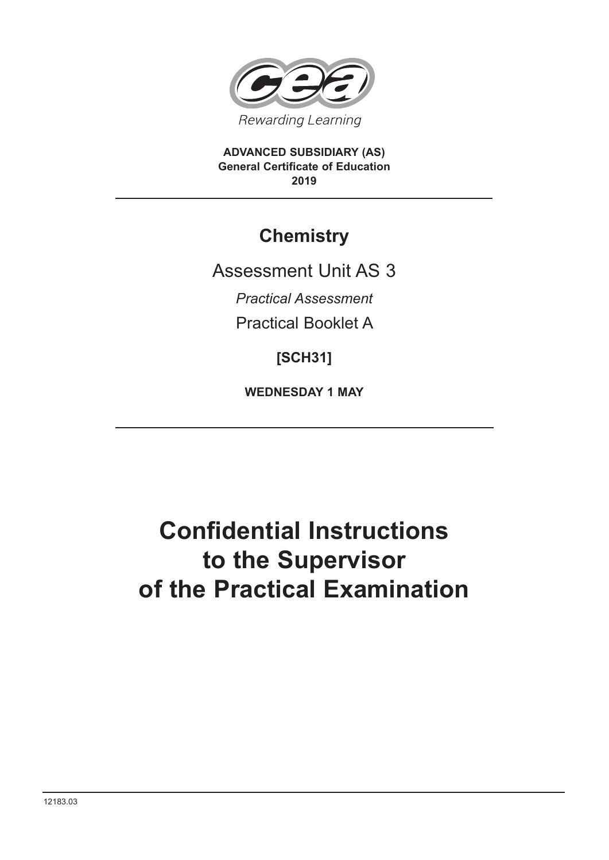

**ADVANCED SUBSIDIARY (AS) General Certificate of Education 2019**

### **Chemistry**

Assessment Unit AS 3

*Practical Assessment*

Practical Booklet A

**[SCH31]**

**WEDNESDAY 1 MAY**

# **Confidential Instructions to the Supervisor of the Practical Examination**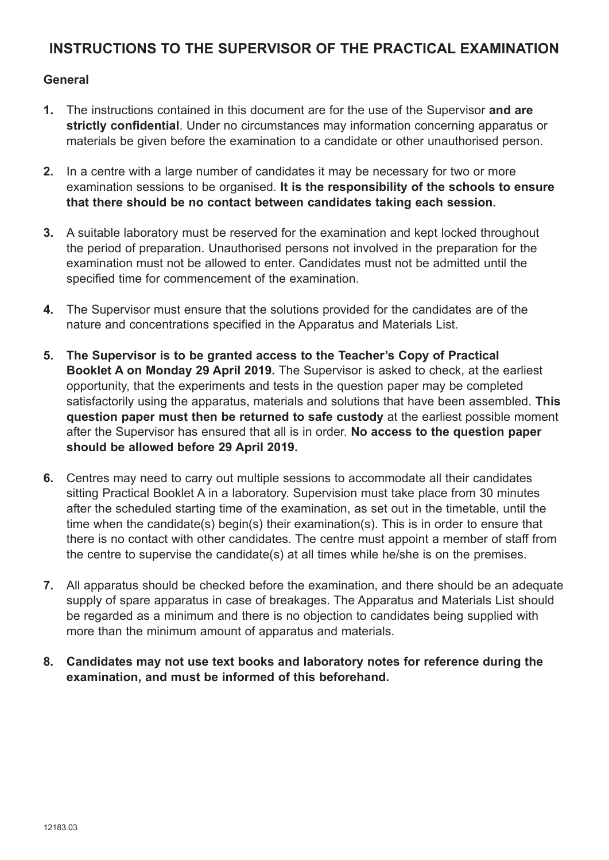#### **INSTRUCTIONS TO THE SUPERVISOR OF THE PRACTICAL EXAMINATION**

#### **General**

- **1.** The instructions contained in this document are for the use of the Supervisor **and are strictly confidential**. Under no circumstances may information concerning apparatus or materials be given before the examination to a candidate or other unauthorised person.
- **2.** In a centre with a large number of candidates it may be necessary for two or more examination sessions to be organised. **It is the responsibility of the schools to ensure that there should be no contact between candidates taking each session.**
- **3.** A suitable laboratory must be reserved for the examination and kept locked throughout the period of preparation. Unauthorised persons not involved in the preparation for the examination must not be allowed to enter. Candidates must not be admitted until the specified time for commencement of the examination.
- **4.** The Supervisor must ensure that the solutions provided for the candidates are of the nature and concentrations specified in the Apparatus and Materials List.
- **5. The Supervisor is to be granted access to the Teacher's Copy of Practical Booklet A on Monday 29 April 2019.** The Supervisor is asked to check, at the earliest opportunity, that the experiments and tests in the question paper may be completed satisfactorily using the apparatus, materials and solutions that have been assembled. **This question paper must then be returned to safe custody** at the earliest possible moment after the Supervisor has ensured that all is in order. **No access to the question paper should be allowed before 29 April 2019.**
- **6.** Centres may need to carry out multiple sessions to accommodate all their candidates sitting Practical Booklet A in a laboratory. Supervision must take place from 30 minutes after the scheduled starting time of the examination, as set out in the timetable, until the time when the candidate(s) begin(s) their examination(s). This is in order to ensure that there is no contact with other candidates. The centre must appoint a member of staff from the centre to supervise the candidate(s) at all times while he/she is on the premises.
- **7.** All apparatus should be checked before the examination, and there should be an adequate supply of spare apparatus in case of breakages. The Apparatus and Materials List should be regarded as a minimum and there is no objection to candidates being supplied with more than the minimum amount of apparatus and materials.
- **8. Candidates may not use text books and laboratory notes for reference during the examination, and must be informed of this beforehand.**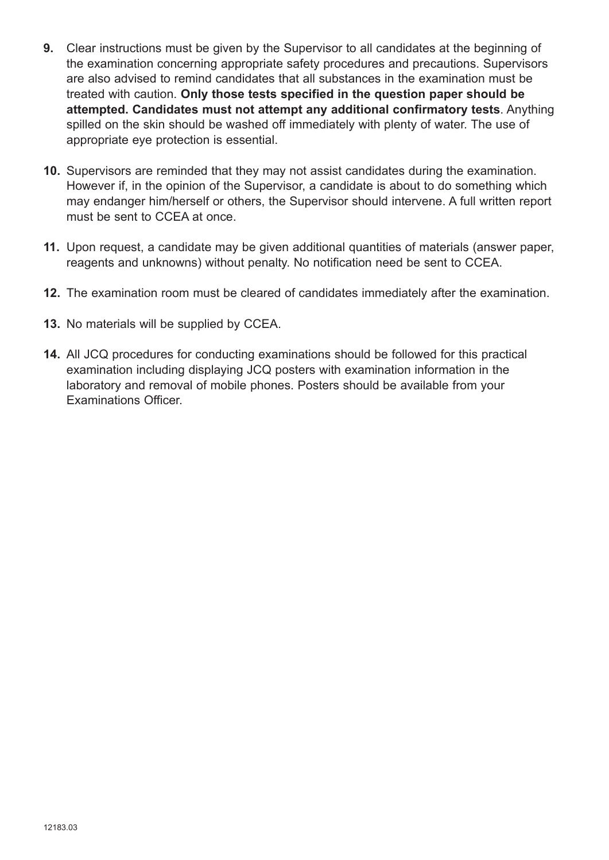- **9.** Clear instructions must be given by the Supervisor to all candidates at the beginning of the examination concerning appropriate safety procedures and precautions. Supervisors are also advised to remind candidates that all substances in the examination must be treated with caution. **Only those tests specified in the question paper should be attempted. Candidates must not attempt any additional confirmatory tests**. Anything spilled on the skin should be washed off immediately with plenty of water. The use of appropriate eye protection is essential.
- **10.** Supervisors are reminded that they may not assist candidates during the examination. However if, in the opinion of the Supervisor, a candidate is about to do something which may endanger him/herself or others, the Supervisor should intervene. A full written report must be sent to CCEA at once.
- **11.** Upon request, a candidate may be given additional quantities of materials (answer paper, reagents and unknowns) without penalty. No notification need be sent to CCEA.
- **12.** The examination room must be cleared of candidates immediately after the examination.
- **13.** No materials will be supplied by CCEA.
- **14.** All JCQ procedures for conducting examinations should be followed for this practical examination including displaying JCQ posters with examination information in the laboratory and removal of mobile phones. Posters should be available from your Examinations Officer.